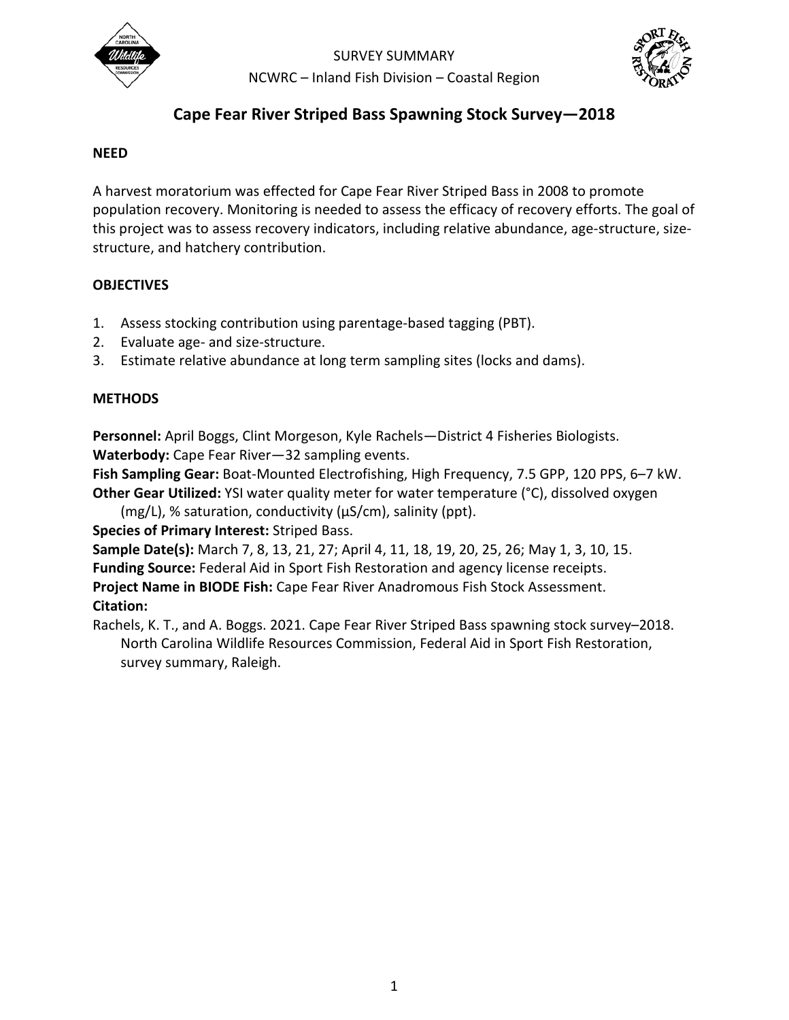

SURVEY SUMMARY NCWRC – Inland Fish Division – Coastal Region



# **Cape Fear River Striped Bass Spawning Stock Survey—2018**

## **NEED**

A harvest moratorium was effected for Cape Fear River Striped Bass in 2008 to promote population recovery. Monitoring is needed to assess the efficacy of recovery efforts. The goal of this project was to assess recovery indicators, including relative abundance, age-structure, sizestructure, and hatchery contribution.

## **OBJECTIVES**

- 1. Assess stocking contribution using parentage-based tagging (PBT).
- 2. Evaluate age- and size-structure.
- 3. Estimate relative abundance at long term sampling sites (locks and dams).

## **METHODS**

**Personnel:** April Boggs, Clint Morgeson, Kyle Rachels—District 4 Fisheries Biologists. **Waterbody:** Cape Fear River—32 sampling events.

**Fish Sampling Gear:** Boat-Mounted Electrofishing, High Frequency, 7.5 GPP, 120 PPS, 6–7 kW. **Other Gear Utilized:** YSI water quality meter for water temperature (°C), dissolved oxygen

 $(mg/L)$ , % saturation, conductivity ( $\mu S/cm$ ), salinity (ppt).

## **Species of Primary Interest:** Striped Bass.

**Sample Date(s):** March 7, 8, 13, 21, 27; April 4, 11, 18, 19, 20, 25, 26; May 1, 3, 10, 15. **Funding Source:** Federal Aid in Sport Fish Restoration and agency license receipts. **Project Name in BIODE Fish:** Cape Fear River Anadromous Fish Stock Assessment. **Citation:**

Rachels, K. T., and A. Boggs. 2021. Cape Fear River Striped Bass spawning stock survey–2018. North Carolina Wildlife Resources Commission, Federal Aid in Sport Fish Restoration, survey summary, Raleigh.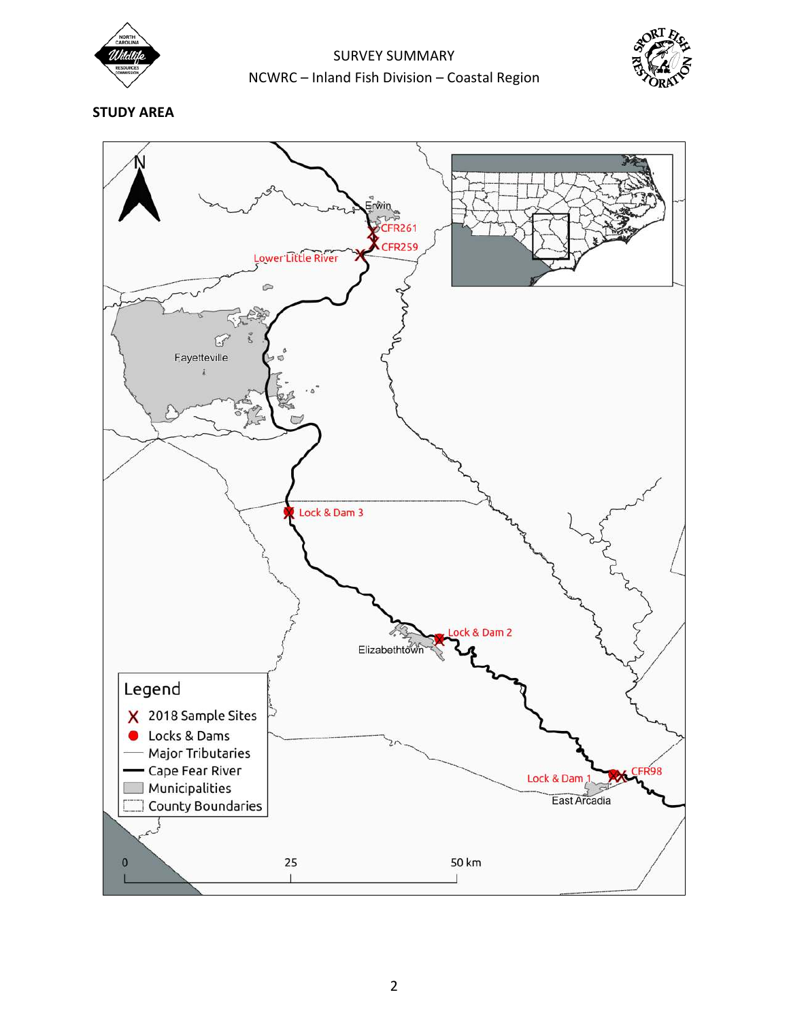

SURVEY SUMMARY NCWRC – Inland Fish Division – Coastal Region



**STUDY AREA** 

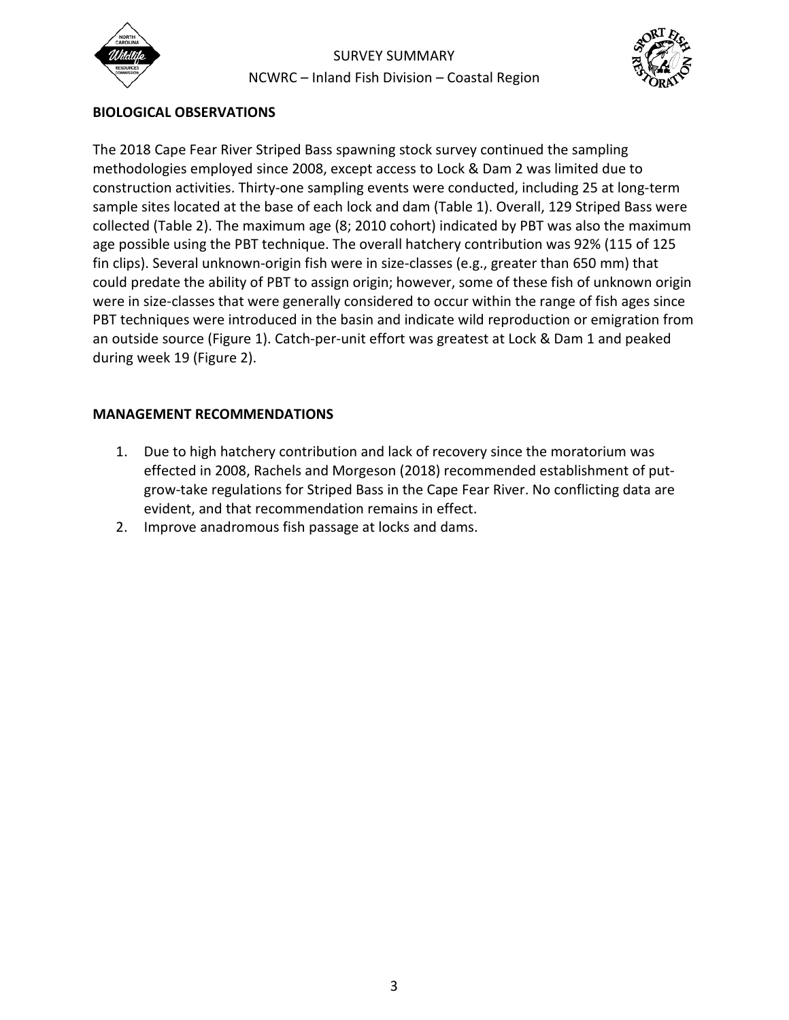

SURVEY SUMMARY NCWRC – Inland Fish Division – Coastal Region



## **BIOLOGICAL OBSERVATIONS**

The 2018 Cape Fear River Striped Bass spawning stock survey continued the sampling methodologies employed since 2008, except access to Lock & Dam 2 was limited due to construction activities. Thirty-one sampling events were conducted, including 25 at long-term sample sites located at the base of each lock and dam (Table 1). Overall, 129 Striped Bass were collected (Table 2). The maximum age (8; 2010 cohort) indicated by PBT was also the maximum age possible using the PBT technique. The overall hatchery contribution was 92% (115 of 125 fin clips). Several unknown-origin fish were in size-classes (e.g., greater than 650 mm) that could predate the ability of PBT to assign origin; however, some of these fish of unknown origin were in size-classes that were generally considered to occur within the range of fish ages since PBT techniques were introduced in the basin and indicate wild reproduction or emigration from an outside source (Figure 1). Catch-per-unit effort was greatest at Lock & Dam 1 and peaked during week 19 (Figure 2).

## **MANAGEMENT RECOMMENDATIONS**

- 1. Due to high hatchery contribution and lack of recovery since the moratorium was effected in 2008, Rachels and Morgeson (2018) recommended establishment of putgrow-take regulations for Striped Bass in the Cape Fear River. No conflicting data are evident, and that recommendation remains in effect.
- 2. Improve anadromous fish passage at locks and dams.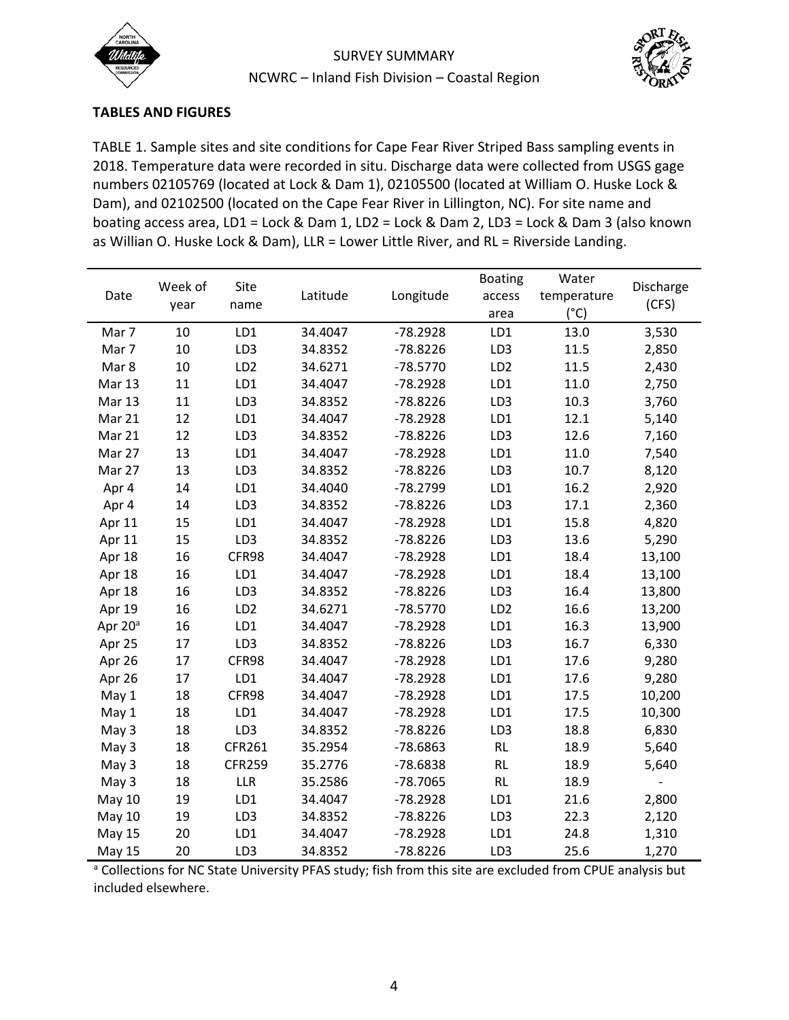



## **TABLES AND FIGURES**

TABLE 1. Sample sites and site conditions for Cape Fear River Striped Bass sampling events in 2018. Temperature data were recorded in situ. Discharge data were collected from USGS gage numbers 02105769 (located at Lock & Dam 1), 02105500 (located at William O. Huske Lock & Dam), and 02102500 (located on the Cape Fear River in Lillington, NC). For site name and boating access area, LD1 = Lock & Dam 1, LD2 = Lock & Dam 2, LD3 = Lock & Dam 3 (also known as Willian O. Huske Lock & Dam), LLR = Lower Little River, and RL = Riverside Landing.

| Date                | Week of<br>year | Site<br>name    | Latitude | Longitude  | <b>Boating</b>  | Water         | Discharge<br>(CFS) |
|---------------------|-----------------|-----------------|----------|------------|-----------------|---------------|--------------------|
|                     |                 |                 |          |            | access          | temperature   |                    |
|                     |                 |                 |          |            | area            | $(^{\circ}C)$ |                    |
| Mar 7               | 10              | LD1             | 34.4047  | $-78.2928$ | LD1             | 13.0          | 3,530              |
| Mar 7               | $10\,$          | LD <sub>3</sub> | 34.8352  | $-78.8226$ | LD <sub>3</sub> | 11.5          | 2,850              |
| Mar 8               | 10              | LD <sub>2</sub> | 34.6271  | $-78.5770$ | LD <sub>2</sub> | 11.5          | 2,430              |
| <b>Mar 13</b>       | 11              | LD1             | 34.4047  | $-78.2928$ | LD1             | 11.0          | 2,750              |
| Mar 13              | 11              | LD3             | 34.8352  | $-78.8226$ | LD3             | 10.3          | 3,760              |
| Mar 21              | 12              | LD1             | 34.4047  | $-78.2928$ | LD1             | 12.1          | 5,140              |
| Mar 21              | 12              | LD3             | 34.8352  | $-78.8226$ | LD3             | 12.6          | 7,160              |
| Mar 27              | 13              | LD1             | 34.4047  | $-78.2928$ | LD1             | 11.0          | 7,540              |
| Mar 27              | 13              | LD3             | 34.8352  | $-78.8226$ | LD3             | 10.7          | 8,120              |
| Apr 4               | 14              | LD1             | 34.4040  | $-78.2799$ | LD1             | 16.2          | 2,920              |
| Apr 4               | 14              | LD <sub>3</sub> | 34.8352  | $-78.8226$ | LD <sub>3</sub> | 17.1          | 2,360              |
| Apr 11              | 15              | LD1             | 34.4047  | $-78.2928$ | LD1             | 15.8          | 4,820              |
| Apr 11              | 15              | LD3             | 34.8352  | $-78.8226$ | LD <sub>3</sub> | 13.6          | 5,290              |
| Apr 18              | 16              | CFR98           | 34.4047  | $-78.2928$ | LD1             | 18.4          | 13,100             |
| Apr 18              | 16              | LD1             | 34.4047  | $-78.2928$ | LD1             | 18.4          | 13,100             |
| Apr 18              | 16              | LD <sub>3</sub> | 34.8352  | $-78.8226$ | LD <sub>3</sub> | 16.4          | 13,800             |
| Apr 19              | 16              | LD <sub>2</sub> | 34.6271  | $-78.5770$ | LD <sub>2</sub> | 16.6          | 13,200             |
| Apr 20 <sup>a</sup> | 16              | LD1             | 34.4047  | $-78.2928$ | LD1             | 16.3          | 13,900             |
| Apr 25              | 17              | LD3             | 34.8352  | $-78.8226$ | LD3             | 16.7          | 6,330              |
| Apr 26              | 17              | CFR98           | 34.4047  | $-78.2928$ | LD1             | 17.6          | 9,280              |
| Apr 26              | 17              | LD1             | 34.4047  | $-78.2928$ | LD1             | 17.6          | 9,280              |
| May 1               | 18              | CFR98           | 34.4047  | $-78.2928$ | LD1             | 17.5          | 10,200             |
| May 1               | 18              | LD1             | 34.4047  | $-78.2928$ | LD1             | 17.5          | 10,300             |
| May 3               | 18              | LD3             | 34.8352  | $-78.8226$ | LD3             | 18.8          | 6,830              |
| May 3               | 18              | CFR261          | 35.2954  | $-78.6863$ | <b>RL</b>       | 18.9          | 5,640              |
| May 3               | 18              | <b>CFR259</b>   | 35.2776  | $-78.6838$ | <b>RL</b>       | 18.9          | 5,640              |
| May 3               | 18              | <b>LLR</b>      | 35.2586  | $-78.7065$ | <b>RL</b>       | 18.9          |                    |
| <b>May 10</b>       | 19              | LD1             | 34.4047  | $-78.2928$ | LD1             | 21.6          | 2,800              |
| <b>May 10</b>       | 19              | LD3             | 34.8352  | $-78.8226$ | LD3             | 22.3          | 2,120              |
| <b>May 15</b>       | 20              | LD1             | 34.4047  | $-78.2928$ | LD1             | 24.8          | 1,310              |
| <b>May 15</b>       | 20              | LD3             | 34.8352  | $-78.8226$ | LD3             | 25.6          | 1,270              |

a Collections for NC State University PFAS study; fish from this site are excluded from CPUE analysis but included elsewhere.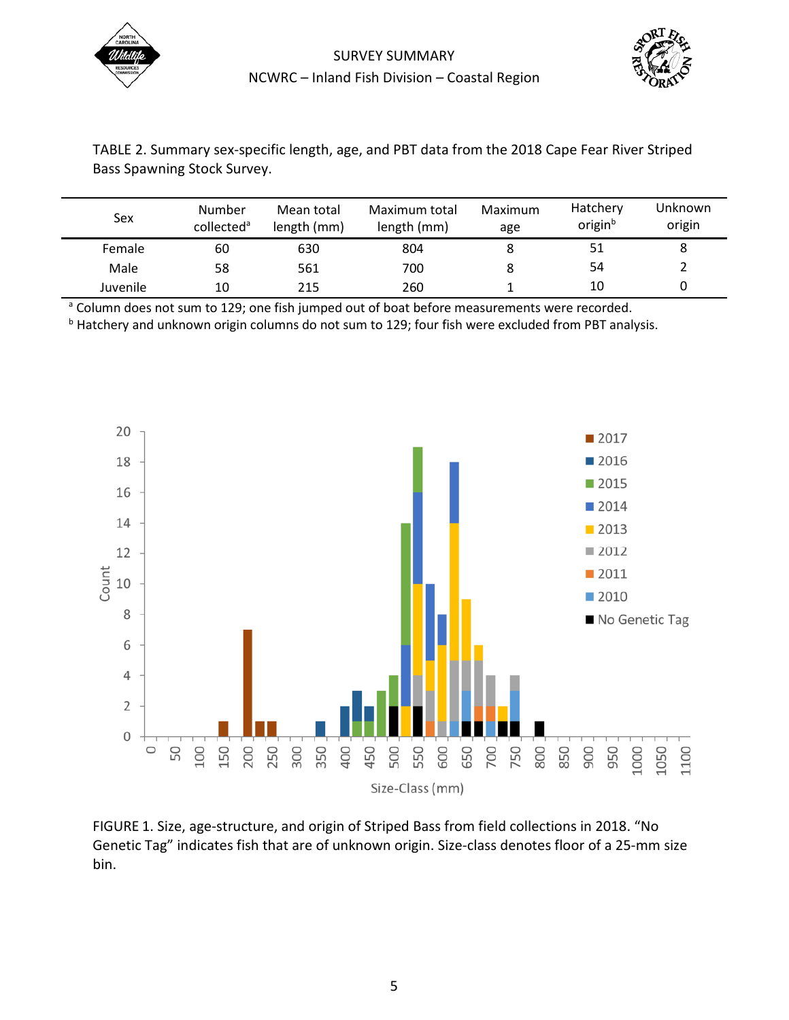



| TABLE 2. Summary sex-specific length, age, and PBT data from the 2018 Cape Fear River Striped |
|-----------------------------------------------------------------------------------------------|
| Bass Spawning Stock Survey.                                                                   |

| Sex      | <b>Number</b><br>collected <sup>a</sup> | Mean total<br>length (mm) | Maximum total<br>length (mm) | Maximum<br>age | Hatchery<br>origin <sup>b</sup> | Unknown<br>origin |
|----------|-----------------------------------------|---------------------------|------------------------------|----------------|---------------------------------|-------------------|
| Female   | 60                                      | 630                       | 804                          |                | 51                              | 8                 |
| Male     | 58                                      | 561                       | 700                          |                | 54                              |                   |
| Juvenile | 10                                      | 215                       | 260                          |                | 10                              |                   |

<sup>a</sup> Column does not sum to 129; one fish jumped out of boat before measurements were recorded.

<sup>b</sup> Hatchery and unknown origin columns do not sum to 129; four fish were excluded from PBT analysis.



FIGURE 1. Size, age-structure, and origin of Striped Bass from field collections in 2018. "No Genetic Tag" indicates fish that are of unknown origin. Size-class denotes floor of a 25-mm size bin.